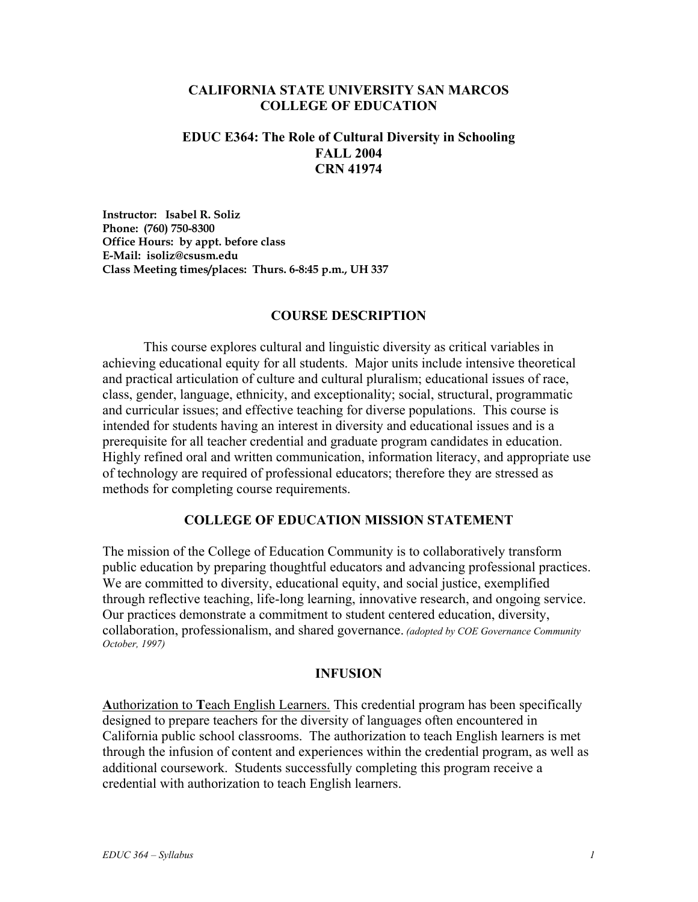### **CALIFORNIA STATE UNIVERSITY SAN MARCOS COLLEGE OF EDUCATION**

### **EDUC E364: The Role of Cultural Diversity in Schooling FALL 2004 CRN 41974**

**Instructor: Isabel R. Soliz Phone: (760) 750-8300 Office Hours: by appt. before class E-Mail: isoliz@csusm.edu Class Meeting times/places: Thurs. 6-8:45 p.m., UH 337** 

#### **COURSE DESCRIPTION**

 This course explores cultural and linguistic diversity as critical variables in achieving educational equity for all students. Major units include intensive theoretical and practical articulation of culture and cultural pluralism; educational issues of race, class, gender, language, ethnicity, and exceptionality; social, structural, programmatic and curricular issues; and effective teaching for diverse populations. This course is intended for students having an interest in diversity and educational issues and is a prerequisite for all teacher credential and graduate program candidates in education. Highly refined oral and written communication, information literacy, and appropriate use of technology are required of professional educators; therefore they are stressed as methods for completing course requirements.

### **COLLEGE OF EDUCATION MISSION STATEMENT**

The mission of the College of Education Community is to collaboratively transform public education by preparing thoughtful educators and advancing professional practices. We are committed to diversity, educational equity, and social justice, exemplified through reflective teaching, life-long learning, innovative research, and ongoing service. Our practices demonstrate a commitment to student centered education, diversity, collaboration, professionalism, and shared governance. *(adopted by COE Governance Community October, 1997)* 

#### **INFUSION**

**A**uthorization to **T**each English Learners. This credential program has been specifically designed to prepare teachers for the diversity of languages often encountered in California public school classrooms. The authorization to teach English learners is met through the infusion of content and experiences within the credential program, as well as additional coursework. Students successfully completing this program receive a credential with authorization to teach English learners.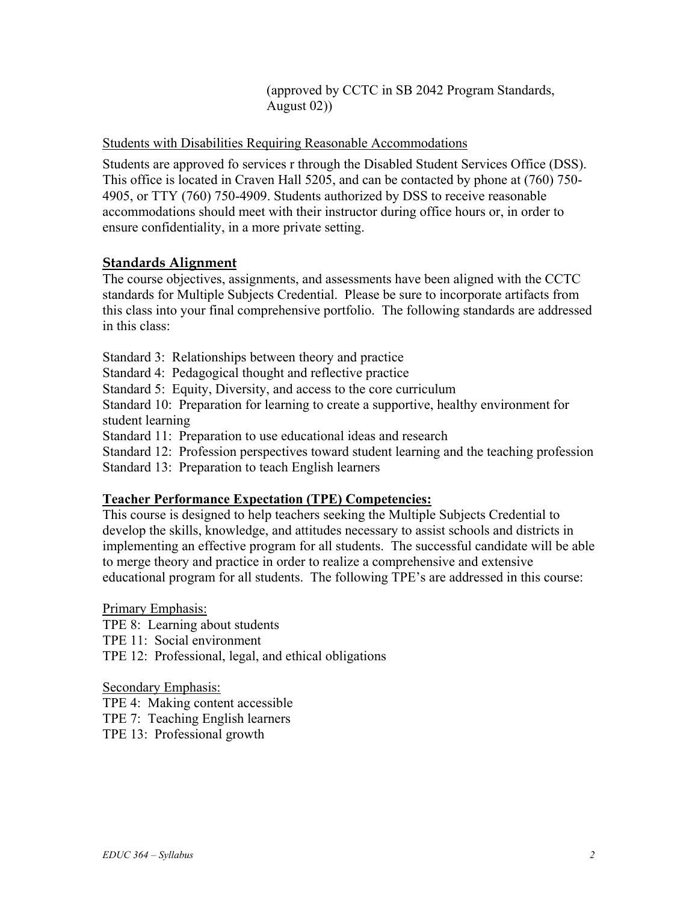(approved by CCTC in SB 2042 Program Standards, August 02))

## Students with Disabilities Requiring Reasonable Accommodations

Students are approved fo services r through the Disabled Student Services Office (DSS). This office is located in Craven Hall 5205, and can be contacted by phone at (760) 750- 4905, or TTY (760) 750-4909. Students authorized by DSS to receive reasonable accommodations should meet with their instructor during office hours or, in order to ensure confidentiality, in a more private setting.

## **Standards Alignment**

The course objectives, assignments, and assessments have been aligned with the CCTC standards for Multiple Subjects Credential. Please be sure to incorporate artifacts from this class into your final comprehensive portfolio. The following standards are addressed in this class:

Standard 3: Relationships between theory and practice

Standard 4: Pedagogical thought and reflective practice

Standard 5: Equity, Diversity, and access to the core curriculum

Standard 10: Preparation for learning to create a supportive, healthy environment for student learning

Standard 11: Preparation to use educational ideas and research

Standard 12: Profession perspectives toward student learning and the teaching profession

Standard 13: Preparation to teach English learners

### **Teacher Performance Expectation (TPE) Competencies:**

This course is designed to help teachers seeking the Multiple Subjects Credential to develop the skills, knowledge, and attitudes necessary to assist schools and districts in implementing an effective program for all students. The successful candidate will be able to merge theory and practice in order to realize a comprehensive and extensive educational program for all students. The following TPE's are addressed in this course:

Primary Emphasis:

TPE 8: Learning about students

TPE 11: Social environment

TPE 12: Professional, legal, and ethical obligations

Secondary Emphasis:

TPE 4: Making content accessible

TPE 7: Teaching English learners

TPE 13: Professional growth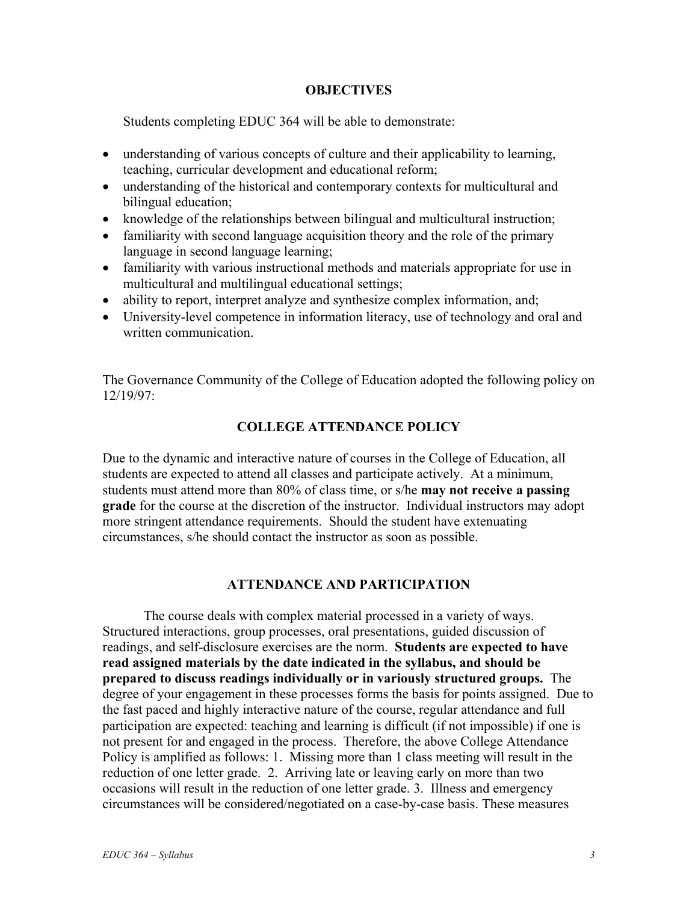### **OBJECTIVES**

Students completing EDUC 364 will be able to demonstrate:

- understanding of various concepts of culture and their applicability to learning, teaching, curricular development and educational reform;
- understanding of the historical and contemporary contexts for multicultural and bilingual education;
- knowledge of the relationships between bilingual and multicultural instruction;
- familiarity with second language acquisition theory and the role of the primary language in second language learning;
- familiarity with various instructional methods and materials appropriate for use in multicultural and multilingual educational settings;
- ability to report, interpret analyze and synthesize complex information, and;
- University-level competence in information literacy, use of technology and oral and written communication.

The Governance Community of the College of Education adopted the following policy on 12/19/97:

## **COLLEGE ATTENDANCE POLICY**

Due to the dynamic and interactive nature of courses in the College of Education, all students are expected to attend all classes and participate actively. At a minimum, students must attend more than 80% of class time, or s/he **may not receive a passing grade** for the course at the discretion of the instructor. Individual instructors may adopt more stringent attendance requirements. Should the student have extenuating circumstances, s/he should contact the instructor as soon as possible.

### **ATTENDANCE AND PARTICIPATION**

The course deals with complex material processed in a variety of ways. Structured interactions, group processes, oral presentations, guided discussion of readings, and self-disclosure exercises are the norm. **Students are expected to have read assigned materials by the date indicated in the syllabus, and should be prepared to discuss readings individually or in variously structured groups.** The degree of your engagement in these processes forms the basis for points assigned. Due to the fast paced and highly interactive nature of the course, regular attendance and full participation are expected: teaching and learning is difficult (if not impossible) if one is not present for and engaged in the process. Therefore, the above College Attendance Policy is amplified as follows: 1. Missing more than 1 class meeting will result in the reduction of one letter grade. 2. Arriving late or leaving early on more than two occasions will result in the reduction of one letter grade. 3. Illness and emergency circumstances will be considered/negotiated on a case-by-case basis. These measures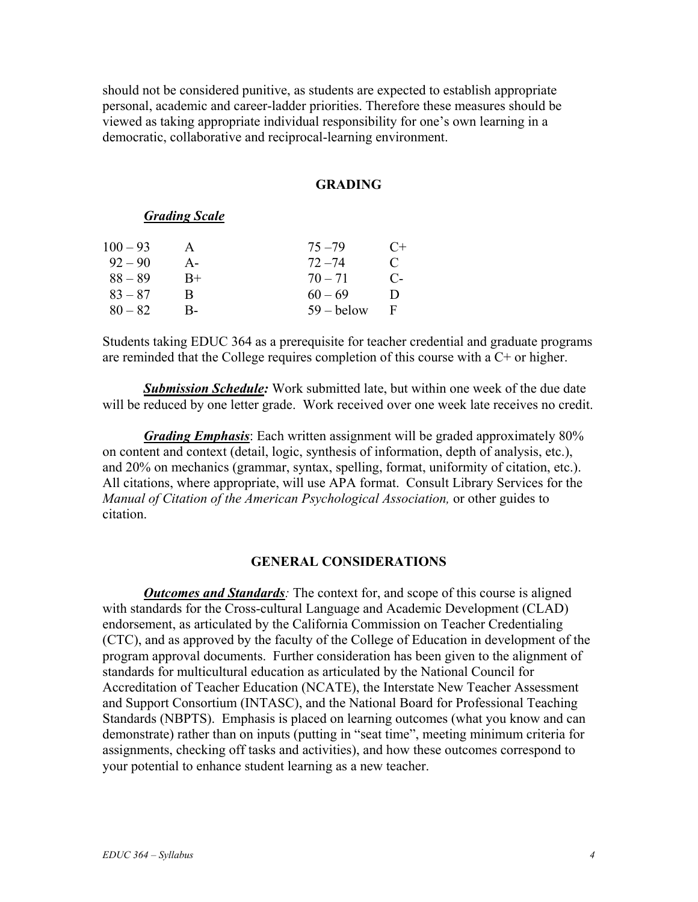should not be considered punitive, as students are expected to establish appropriate personal, academic and career-ladder priorities. Therefore these measures should be viewed as taking appropriate individual responsibility for one's own learning in a democratic, collaborative and reciprocal-learning environment.

#### **GRADING**

### *Grading Scale*

| $100 - 93$ |       | $75 - 79$    | $C+$         |
|------------|-------|--------------|--------------|
| $92 - 90$  | $A -$ | $72 - 74$    | $\mathbf C$  |
| $88 - 89$  | $B+$  | $70 - 71$    | C-           |
| $83 - 87$  | R     | $60 - 69$    | $\mathbf{D}$ |
| $80 - 82$  | В-    | $59 -$ below | F            |

Students taking EDUC 364 as a prerequisite for teacher credential and graduate programs are reminded that the College requires completion of this course with a C+ or higher.

 *Submission Schedule:* Work submitted late, but within one week of the due date will be reduced by one letter grade. Work received over one week late receives no credit.

*Grading Emphasis*: Each written assignment will be graded approximately 80% on content and context (detail, logic, synthesis of information, depth of analysis, etc.), and 20% on mechanics (grammar, syntax, spelling, format, uniformity of citation, etc.). All citations, where appropriate, will use APA format. Consult Library Services for the *Manual of Citation of the American Psychological Association,* or other guides to citation.

#### **GENERAL CONSIDERATIONS**

*Outcomes and Standards*: The context for, and scope of this course is aligned with standards for the Cross-cultural Language and Academic Development (CLAD) endorsement, as articulated by the California Commission on Teacher Credentialing (CTC), and as approved by the faculty of the College of Education in development of the program approval documents. Further consideration has been given to the alignment of standards for multicultural education as articulated by the National Council for Accreditation of Teacher Education (NCATE), the Interstate New Teacher Assessment and Support Consortium (INTASC), and the National Board for Professional Teaching Standards (NBPTS). Emphasis is placed on learning outcomes (what you know and can demonstrate) rather than on inputs (putting in "seat time", meeting minimum criteria for assignments, checking off tasks and activities), and how these outcomes correspond to your potential to enhance student learning as a new teacher.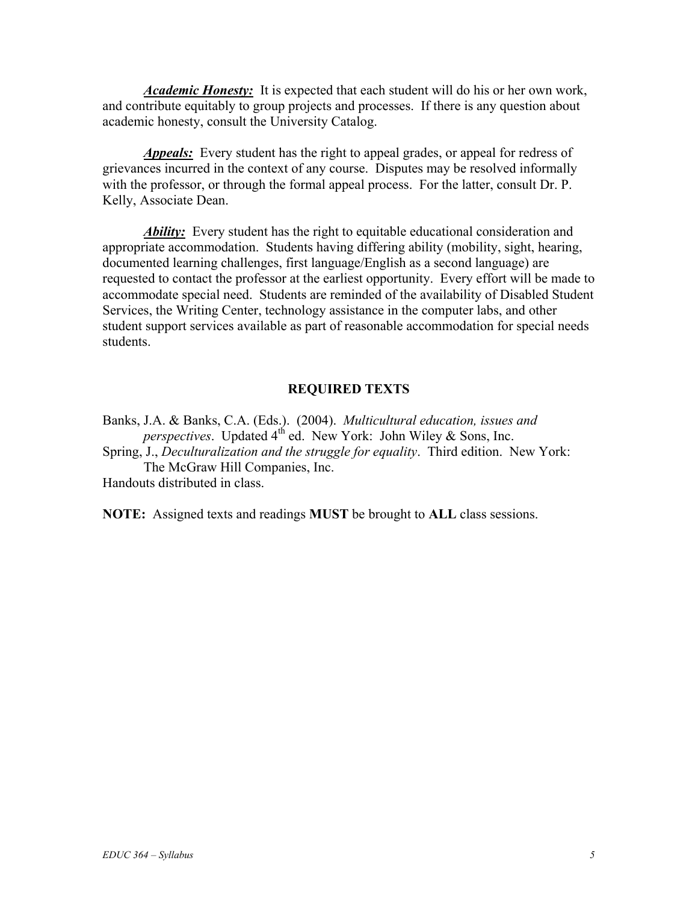*Academic Honesty:* It is expected that each student will do his or her own work, and contribute equitably to group projects and processes. If there is any question about academic honesty, consult the University Catalog.

*Appeals:* Every student has the right to appeal grades, or appeal for redress of grievances incurred in the context of any course. Disputes may be resolved informally with the professor, or through the formal appeal process. For the latter, consult Dr. P. Kelly, Associate Dean.

*Ability:* Every student has the right to equitable educational consideration and appropriate accommodation. Students having differing ability (mobility, sight, hearing, documented learning challenges, first language/English as a second language) are requested to contact the professor at the earliest opportunity. Every effort will be made to accommodate special need. Students are reminded of the availability of Disabled Student Services, the Writing Center, technology assistance in the computer labs, and other student support services available as part of reasonable accommodation for special needs students.

## **REQUIRED TEXTS**

Banks, J.A. & Banks, C.A. (Eds.). (2004). *Multicultural education, issues and perspectives*. Updated 4<sup>th</sup> ed. New York: John Wiley & Sons, Inc. Spring, J., *Deculturalization and the struggle for equality*. Third edition. New York: The McGraw Hill Companies, Inc. Handouts distributed in class.

**NOTE:** Assigned texts and readings **MUST** be brought to **ALL** class sessions.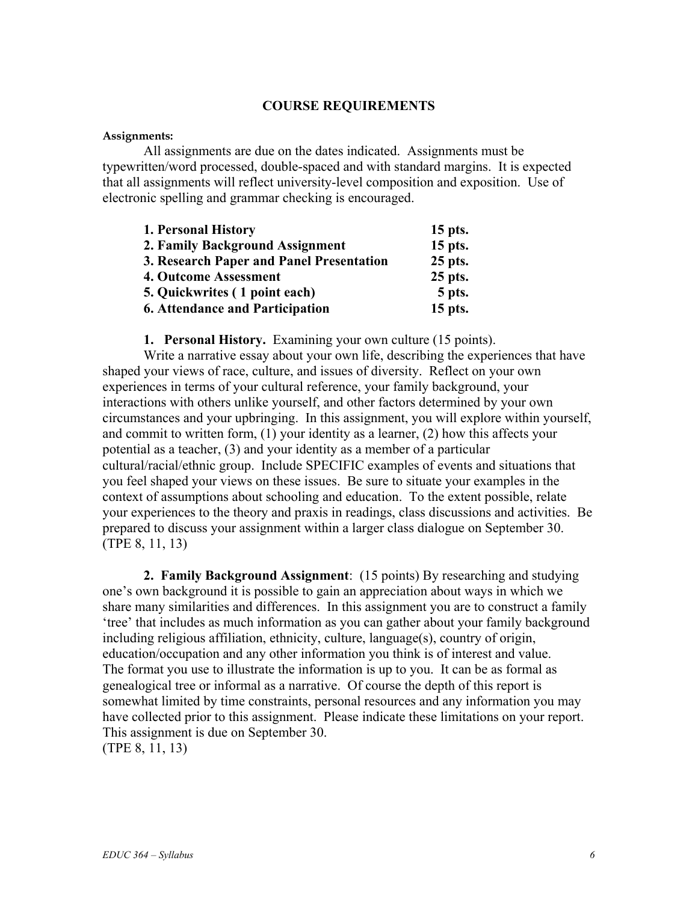### **COURSE REQUIREMENTS**

#### **Assignments:**

 All assignments are due on the dates indicated. Assignments must be typewritten/word processed, double-spaced and with standard margins. It is expected that all assignments will reflect university-level composition and exposition. Use of electronic spelling and grammar checking is encouraged.

| 1. Personal History                      | $15$ pts. |
|------------------------------------------|-----------|
| 2. Family Background Assignment          | 15 pts.   |
| 3. Research Paper and Panel Presentation | 25 pts.   |
| 4. Outcome Assessment                    | 25 pts.   |
| 5. Quickwrites (1 point each)            | 5 pts.    |
| <b>6. Attendance and Participation</b>   | $15$ pts. |

**1. Personal History.** Examining your own culture (15 points).

 Write a narrative essay about your own life, describing the experiences that have shaped your views of race, culture, and issues of diversity. Reflect on your own experiences in terms of your cultural reference, your family background, your interactions with others unlike yourself, and other factors determined by your own circumstances and your upbringing. In this assignment, you will explore within yourself, and commit to written form, (1) your identity as a learner, (2) how this affects your potential as a teacher, (3) and your identity as a member of a particular cultural/racial/ethnic group. Include SPECIFIC examples of events and situations that you feel shaped your views on these issues. Be sure to situate your examples in the context of assumptions about schooling and education. To the extent possible, relate your experiences to the theory and praxis in readings, class discussions and activities. Be prepared to discuss your assignment within a larger class dialogue on September 30. (TPE 8, 11, 13)

**2. Family Background Assignment**: (15 points) By researching and studying one's own background it is possible to gain an appreciation about ways in which we share many similarities and differences. In this assignment you are to construct a family 'tree' that includes as much information as you can gather about your family background including religious affiliation, ethnicity, culture, language(s), country of origin, education/occupation and any other information you think is of interest and value. The format you use to illustrate the information is up to you. It can be as formal as genealogical tree or informal as a narrative. Of course the depth of this report is somewhat limited by time constraints, personal resources and any information you may have collected prior to this assignment. Please indicate these limitations on your report. This assignment is due on September 30.

(TPE 8, 11, 13)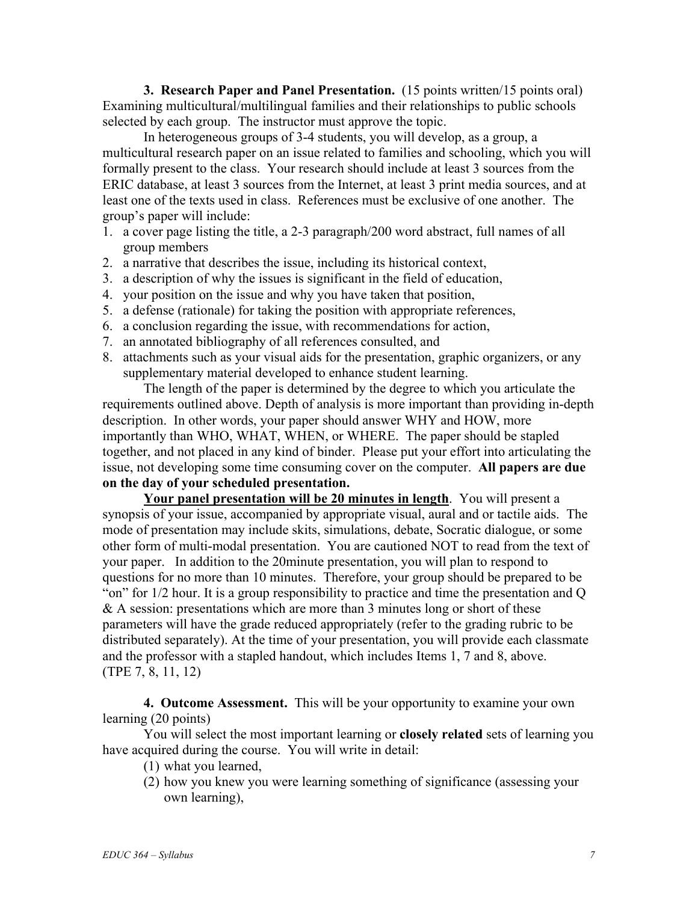**3. Research Paper and Panel Presentation.** (15 points written/15 points oral) Examining multicultural/multilingual families and their relationships to public schools selected by each group. The instructor must approve the topic.

 In heterogeneous groups of 3-4 students, you will develop, as a group, a multicultural research paper on an issue related to families and schooling, which you will formally present to the class. Your research should include at least 3 sources from the ERIC database, at least 3 sources from the Internet, at least 3 print media sources, and at least one of the texts used in class. References must be exclusive of one another. The group's paper will include:

- 1. a cover page listing the title, a 2-3 paragraph/200 word abstract, full names of all group members
- 2. a narrative that describes the issue, including its historical context,
- 3. a description of why the issues is significant in the field of education,
- 4. your position on the issue and why you have taken that position,
- 5. a defense (rationale) for taking the position with appropriate references,
- 6. a conclusion regarding the issue, with recommendations for action,
- 7. an annotated bibliography of all references consulted, and
- 8. attachments such as your visual aids for the presentation, graphic organizers, or any supplementary material developed to enhance student learning.

 The length of the paper is determined by the degree to which you articulate the requirements outlined above. Depth of analysis is more important than providing in-depth description. In other words, your paper should answer WHY and HOW, more importantly than WHO, WHAT, WHEN, or WHERE. The paper should be stapled together, and not placed in any kind of binder. Please put your effort into articulating the issue, not developing some time consuming cover on the computer. **All papers are due on the day of your scheduled presentation.**

**Your panel presentation will be 20 minutes in length**. You will present a synopsis of your issue, accompanied by appropriate visual, aural and or tactile aids. The mode of presentation may include skits, simulations, debate, Socratic dialogue, or some other form of multi-modal presentation. You are cautioned NOT to read from the text of your paper. In addition to the 20minute presentation, you will plan to respond to questions for no more than 10 minutes. Therefore, your group should be prepared to be "on" for 1/2 hour. It is a group responsibility to practice and time the presentation and Q & A session: presentations which are more than 3 minutes long or short of these parameters will have the grade reduced appropriately (refer to the grading rubric to be distributed separately). At the time of your presentation, you will provide each classmate and the professor with a stapled handout, which includes Items 1, 7 and 8, above. (TPE 7, 8, 11, 12)

**4. Outcome Assessment.** This will be your opportunity to examine your own learning (20 points)

You will select the most important learning or **closely related** sets of learning you have acquired during the course. You will write in detail:

- (1) what you learned,
- (2) how you knew you were learning something of significance (assessing your own learning),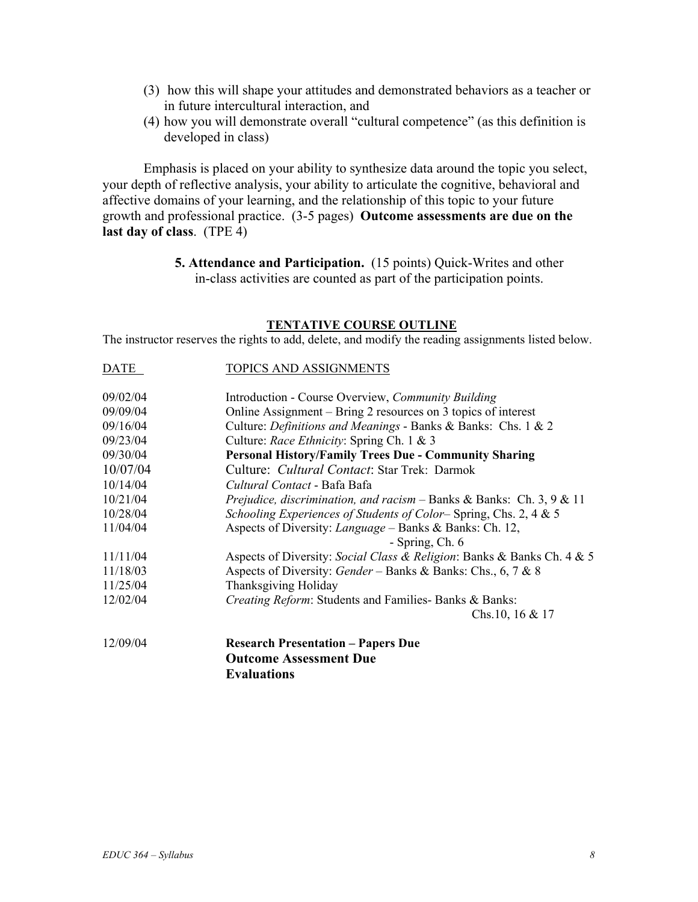- (3) how this will shape your attitudes and demonstrated behaviors as a teacher or in future intercultural interaction, and
- (4) how you will demonstrate overall "cultural competence" (as this definition is developed in class)

Emphasis is placed on your ability to synthesize data around the topic you select, your depth of reflective analysis, your ability to articulate the cognitive, behavioral and affective domains of your learning, and the relationship of this topic to your future growth and professional practice. (3-5 pages) **Outcome assessments are due on the last day of class**. (TPE 4)

> **5. Attendance and Participation.** (15 points) Quick-Writes and other in-class activities are counted as part of the participation points.

#### **TENTATIVE COURSE OUTLINE**

The instructor reserves the rights to add, delete, and modify the reading assignments listed below.

| <b>DATE</b> | TOPICS AND ASSIGNMENTS                                                              |  |  |
|-------------|-------------------------------------------------------------------------------------|--|--|
| 09/02/04    | Introduction - Course Overview, Community Building                                  |  |  |
| 09/09/04    | Online Assignment – Bring 2 resources on 3 topics of interest                       |  |  |
| 09/16/04    | Culture: Definitions and Meanings - Banks & Banks: Chs. 1 & 2                       |  |  |
| 09/23/04    | Culture: Race Ethnicity: Spring Ch. 1 & 3                                           |  |  |
| 09/30/04    | <b>Personal History/Family Trees Due - Community Sharing</b>                        |  |  |
| 10/07/04    | Culture: Cultural Contact: Star Trek: Darmok                                        |  |  |
| 10/14/04    | Cultural Contact - Bafa Bafa                                                        |  |  |
| 10/21/04    | <i>Prejudice, discrimination, and racism – Banks &amp; Banks: Ch. 3, 9 &amp; 11</i> |  |  |
| 10/28/04    | Schooling Experiences of Students of Color–Spring, Chs. 2, 4 & 5                    |  |  |
| 11/04/04    | Aspects of Diversity: <i>Language</i> – Banks & Banks: Ch. 12,                      |  |  |
|             | - Spring, Ch. 6                                                                     |  |  |
| 11/11/04    | Aspects of Diversity: Social Class & Religion: Banks & Banks Ch. 4 & 5              |  |  |
| 11/18/03    | Aspects of Diversity: Gender – Banks & Banks: Chs., 6, 7 & 8                        |  |  |
| 11/25/04    | Thanksgiving Holiday                                                                |  |  |
| 12/02/04    | Creating Reform: Students and Families- Banks & Banks:                              |  |  |
|             | Chs.10, 16 $& 17$                                                                   |  |  |
| 12/09/04    | <b>Research Presentation - Papers Due</b>                                           |  |  |
|             | <b>Outcome Assessment Due</b>                                                       |  |  |
|             | <b>Evaluations</b>                                                                  |  |  |